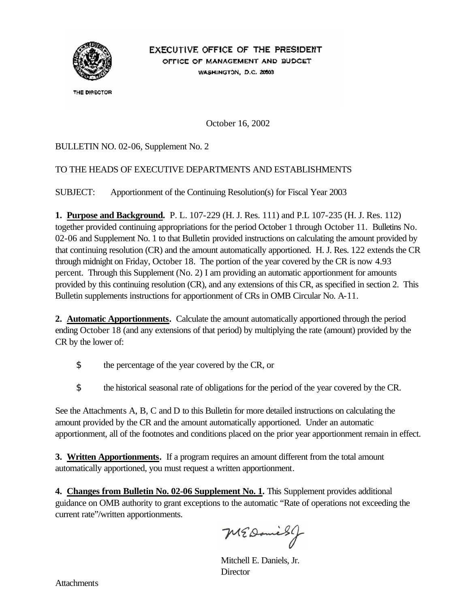

# EXECUTIVE OFFICE OF THE PRESIDENT OFFICE OF MANAGEMENT AND BUDGET

WASHINGTON, D.C. 20503

THE DIRECTOR

October 16, 2002

#### BULLETIN NO. 02-06, Supplement No. 2

#### TO THE HEADS OF EXECUTIVE DEPARTMENTS AND ESTABLISHMENTS

SUBJECT: Apportionment of the Continuing Resolution(s) for Fiscal Year 2003

**1. Purpose and Background.** P. L. 107-229 (H. J. Res. 111) and P.L 107-235 (H. J. Res. 112) together provided continuing appropriations for the period October 1 through October 11. Bulletins No. 02-06 and Supplement No. 1 to that Bulletin provided instructions on calculating the amount provided by that continuing resolution (CR) and the amount automatically apportioned. H. J. Res. 122 extends the CR through midnight on Friday, October 18. The portion of the year covered by the CR is now 4.93 percent. Through this Supplement (No. 2) I am providing an automatic apportionment for amounts provided by this continuing resolution (CR), and any extensions of this CR, as specified in section 2. This Bulletin supplements instructions for apportionment of CRs in OMB Circular No. A-11.

**2. Automatic Apportionments.** Calculate the amount automatically apportioned through the period ending October 18 (and any extensions of that period) by multiplying the rate (amount) provided by the CR by the lower of:

- \$ the percentage of the year covered by the CR, or
- \$ the historical seasonal rate of obligations for the period of the year covered by the CR.

See the Attachments A, B, C and D to this Bulletin for more detailed instructions on calculating the amount provided by the CR and the amount automatically apportioned. Under an automatic apportionment, all of the footnotes and conditions placed on the prior year apportionment remain in effect.

**3. Written Apportionments.** If a program requires an amount different from the total amount automatically apportioned, you must request a written apportionment.

**4. Changes from Bulletin No. 02-06 Supplement No. 1.** This Supplement provides additional guidance on OMB authority to grant exceptions to the automatic "Rate of operations not exceeding the current rate"/written apportionments.

MEDaniesy

Mitchell E. Daniels, Jr. **Director**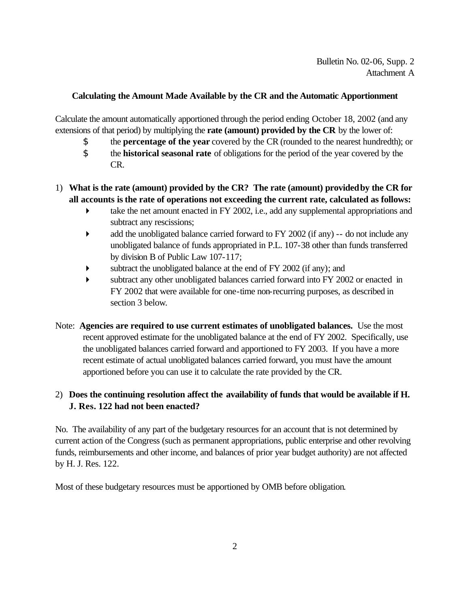#### **Calculating the Amount Made Available by the CR and the Automatic Apportionment**

Calculate the amount automatically apportioned through the period ending October 18, 2002 (and any extensions of that period) by multiplying the **rate (amount) provided by the CR** by the lower of:

- \$ the **percentage of the year** covered by the CR (rounded to the nearest hundredth); or
- \$ the **historical seasonal rate** of obligations for the period of the year covered by the CR.

#### 1) **What is the rate (amount) provided by the CR? The rate (amount) provided by the CR for all accounts is the rate of operations not exceeding the current rate, calculated as follows:**

- $\blacktriangleright$  take the net amount enacted in FY 2002, i.e., add any supplemental appropriations and subtract any rescissions;
- $\blacktriangleright$  add the unobligated balance carried forward to FY 2002 (if any) -- do not include any unobligated balance of funds appropriated in P.L. 107-38 other than funds transferred by division B of Public Law 107-117;
- subtract the unobligated balance at the end of FY 2002 (if any); and
- � subtract any other unobligated balances carried forward into FY 2002 or enacted in FY 2002 that were available for one-time non-recurring purposes, as described in section 3 below.
- Note: **Agencies are required to use current estimates of unobligated balances.** Use the most recent approved estimate for the unobligated balance at the end of FY 2002. Specifically, use the unobligated balances carried forward and apportioned to FY 2003. If you have a more recent estimate of actual unobligated balances carried forward, you must have the amount apportioned before you can use it to calculate the rate provided by the CR.

### 2) **Does the continuing resolution affect the availability of funds that would be available if H. J. Res. 122 had not been enacted?**

No. The availability of any part of the budgetary resources for an account that is not determined by current action of the Congress (such as permanent appropriations, public enterprise and other revolving funds, reimbursements and other income, and balances of prior year budget authority) are not affected by H. J. Res. 122.

Most of these budgetary resources must be apportioned by OMB before obligation.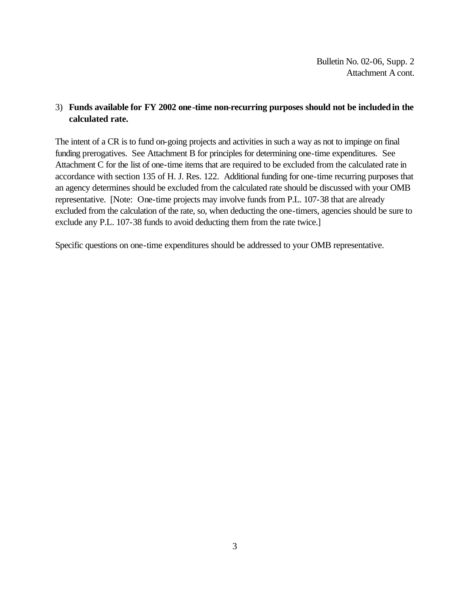#### 3) **Funds available for FY 2002 one-time non-recurring purposes should not be included in the calculated rate.**

The intent of a CR is to fund on-going projects and activities in such a way as not to impinge on final funding prerogatives. See Attachment B for principles for determining one-time expenditures. See Attachment C for the list of one-time items that are required to be excluded from the calculated rate in accordance with section 135 of H. J. Res. 122. Additional funding for one-time recurring purposes that an agency determines should be excluded from the calculated rate should be discussed with your OMB representative. [Note: One-time projects may involve funds from P.L. 107-38 that are already excluded from the calculation of the rate, so, when deducting the one-timers, agencies should be sure to exclude any P.L. 107-38 funds to avoid deducting them from the rate twice.]

Specific questions on one-time expenditures should be addressed to your OMB representative.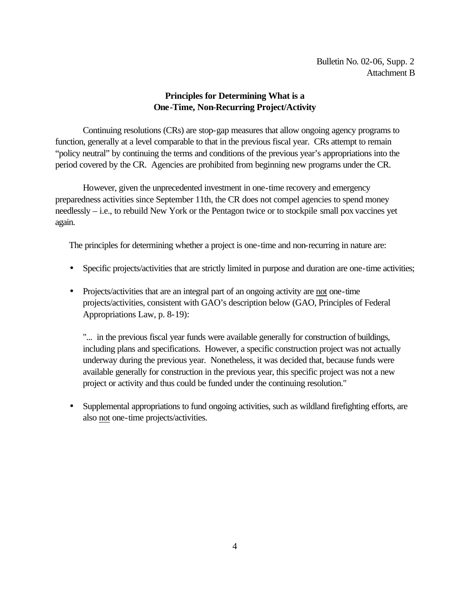#### **Principles for Determining What is a One-Time, Non-Recurring Project/Activity**

Continuing resolutions (CRs) are stop-gap measures that allow ongoing agency programs to function, generally at a level comparable to that in the previous fiscal year. CRs attempt to remain "policy neutral" by continuing the terms and conditions of the previous year's appropriations into the period covered by the CR. Agencies are prohibited from beginning new programs under the CR.

However, given the unprecedented investment in one-time recovery and emergency preparedness activities since September 11th, the CR does not compel agencies to spend money needlessly – i.e., to rebuild New York or the Pentagon twice or to stockpile small pox vaccines yet again.

The principles for determining whether a project is one-time and non-recurring in nature are:

- Specific projects/activities that are strictly limited in purpose and duration are one-time activities;
- Projects/activities that are an integral part of an ongoing activity are not one-time projects/activities, consistent with GAO's description below (GAO, Principles of Federal Appropriations Law, p. 8-19):

"... in the previous fiscal year funds were available generally for construction of buildings, including plans and specifications. However, a specific construction project was not actually underway during the previous year. Nonetheless, it was decided that, because funds were available generally for construction in the previous year, this specific project was not a new project or activity and thus could be funded under the continuing resolution."

• Supplemental appropriations to fund ongoing activities, such as wildland firefighting efforts, are also not one-time projects/activities.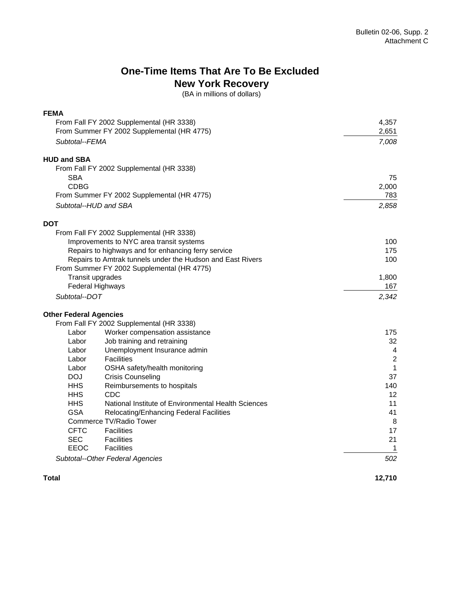## **One-Time Items That Are To Be Excluded New York Recovery**

(BA in millions of dollars)

| <b>FEMA</b>                                |                                                            |                |
|--------------------------------------------|------------------------------------------------------------|----------------|
| From Fall FY 2002 Supplemental (HR 3338)   |                                                            | 4,357          |
|                                            | From Summer FY 2002 Supplemental (HR 4775)                 | 2,651          |
| Subtotal--FEMA                             |                                                            | 7,008          |
| <b>HUD and SBA</b>                         |                                                            |                |
|                                            | From Fall FY 2002 Supplemental (HR 3338)                   |                |
| <b>SBA</b>                                 |                                                            | 75             |
| <b>CDBG</b>                                |                                                            | 2,000          |
| From Summer FY 2002 Supplemental (HR 4775) |                                                            | 783            |
| Subtotal--HUD and SBA                      |                                                            | 2,858          |
| <b>DOT</b>                                 |                                                            |                |
|                                            | From Fall FY 2002 Supplemental (HR 3338)                   |                |
|                                            | Improvements to NYC area transit systems                   | 100            |
|                                            | Repairs to highways and for enhancing ferry service        | 175            |
|                                            | Repairs to Amtrak tunnels under the Hudson and East Rivers | 100            |
|                                            | From Summer FY 2002 Supplemental (HR 4775)                 |                |
|                                            | Transit upgrades                                           | 1,800          |
|                                            | <b>Federal Highways</b>                                    | 167            |
| Subtotal--DOT                              |                                                            | 2,342          |
| <b>Other Federal Agencies</b>              |                                                            |                |
|                                            | From Fall FY 2002 Supplemental (HR 3338)                   |                |
| Labor                                      | Worker compensation assistance                             | 175            |
| Labor                                      | Job training and retraining                                | 32             |
| Labor                                      | Unemployment Insurance admin                               | $\overline{4}$ |
| Labor                                      | <b>Facilities</b>                                          | $\overline{2}$ |
| Labor                                      | OSHA safety/health monitoring                              | $\mathbf 1$    |
| <b>DOJ</b>                                 | <b>Crisis Counseling</b>                                   | 37             |
| <b>HHS</b>                                 | Reimbursements to hospitals                                | 140            |
| <b>HHS</b>                                 | CDC                                                        | 12             |
| <b>HHS</b>                                 | National Institute of Environmental Health Sciences        | 11             |
| <b>GSA</b>                                 | Relocating/Enhancing Federal Facilities                    | 41             |
|                                            | Commerce TV/Radio Tower                                    | 8              |
| <b>CFTC</b>                                | <b>Facilities</b>                                          | 17             |
| <b>SEC</b>                                 | <b>Facilities</b>                                          | 21             |
| EEOC                                       | <b>Facilities</b>                                          | 1              |
|                                            | Subtotal--Other Federal Agencies                           | 502            |

**Total** 

**12,710**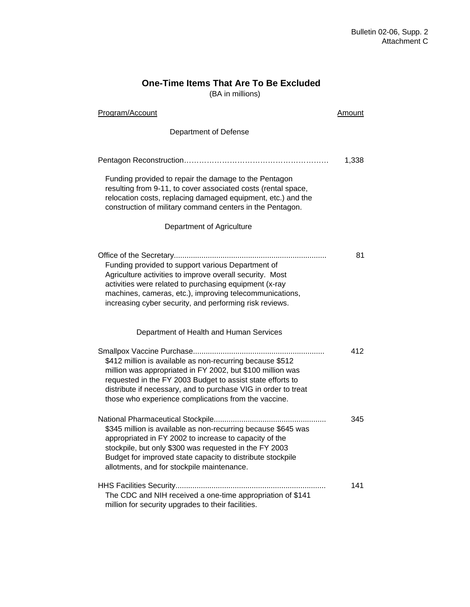## **One-Time Items That Are To Be Excluded**

(BA in millions)

| Program/Account                                                                                                                                                                                                                                                                                                 |       |
|-----------------------------------------------------------------------------------------------------------------------------------------------------------------------------------------------------------------------------------------------------------------------------------------------------------------|-------|
| Department of Defense                                                                                                                                                                                                                                                                                           |       |
|                                                                                                                                                                                                                                                                                                                 | 1,338 |
| Funding provided to repair the damage to the Pentagon<br>resulting from 9-11, to cover associated costs (rental space,<br>relocation costs, replacing damaged equipment, etc.) and the<br>construction of military command centers in the Pentagon.                                                             |       |
| Department of Agriculture                                                                                                                                                                                                                                                                                       |       |
| Funding provided to support various Department of<br>Agriculture activities to improve overall security. Most<br>activities were related to purchasing equipment (x-ray<br>machines, cameras, etc.), improving telecommunications,<br>increasing cyber security, and performing risk reviews.                   | 81    |
| Department of Health and Human Services                                                                                                                                                                                                                                                                         |       |
| \$412 million is available as non-recurring because \$512<br>million was appropriated in FY 2002, but \$100 million was<br>requested in the FY 2003 Budget to assist state efforts to<br>distribute if necessary, and to purchase VIG in order to treat<br>those who experience complications from the vaccine. | 412   |
| \$345 million is available as non-recurring because \$645 was<br>appropriated in FY 2002 to increase to capacity of the<br>stockpile, but only \$300 was requested in the FY 2003<br>Budget for improved state capacity to distribute stockpile<br>allotments, and for stockpile maintenance.                   | 345   |
| The CDC and NIH received a one-time appropriation of \$141<br>million for security upgrades to their facilities.                                                                                                                                                                                                | 141   |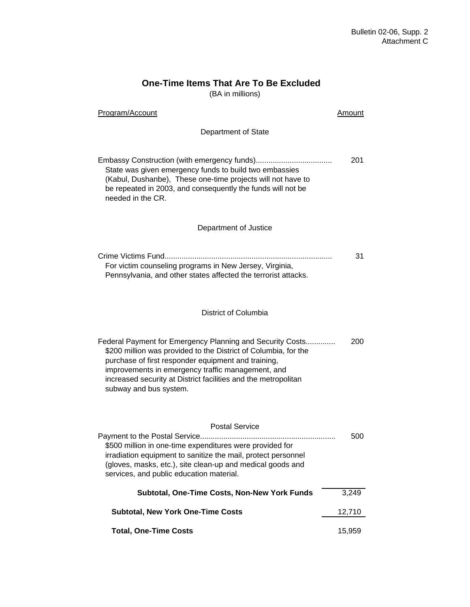### **One-Time Items That Are To Be Excluded**

(BA in millions)

| Program/Account                                                                                                                                                                                                                                                                                                                      | Amount |
|--------------------------------------------------------------------------------------------------------------------------------------------------------------------------------------------------------------------------------------------------------------------------------------------------------------------------------------|--------|
| Department of State                                                                                                                                                                                                                                                                                                                  |        |
| State was given emergency funds to build two embassies<br>(Kabul, Dushanbe), These one-time projects will not have to<br>be repeated in 2003, and consequently the funds will not be<br>needed in the CR.                                                                                                                            | 201    |
| Department of Justice                                                                                                                                                                                                                                                                                                                |        |
| For victim counseling programs in New Jersey, Virginia,<br>Pennsylvania, and other states affected the terrorist attacks.                                                                                                                                                                                                            | 31     |
| District of Columbia                                                                                                                                                                                                                                                                                                                 |        |
| Federal Payment for Emergency Planning and Security Costs<br>\$200 million was provided to the District of Columbia, for the<br>purchase of first responder equipment and training,<br>improvements in emergency traffic management, and<br>increased security at District facilities and the metropolitan<br>subway and bus system. | 200    |
| <b>Postal Service</b><br>\$500 million in one-time expenditures were provided for<br>irradiation equipment to sanitize the mail, protect personnel<br>(gloves, masks, etc.), site clean-up and medical goods and<br>services, and public education material.                                                                         | 500    |
| Subtotal, One-Time Costs, Non-New York Funds                                                                                                                                                                                                                                                                                         | 3,249  |
| <b>Subtotal, New York One-Time Costs</b>                                                                                                                                                                                                                                                                                             |        |
| <b>Total, One-Time Costs</b>                                                                                                                                                                                                                                                                                                         | 15,959 |